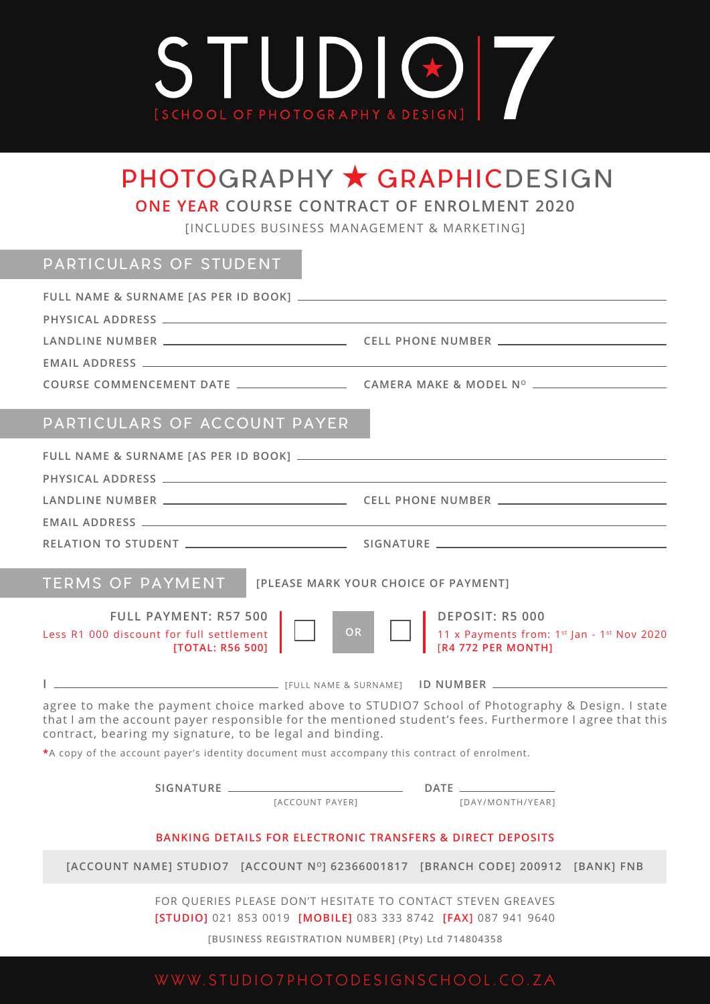

# PHOTOGRAPHY \* GRAPHICDESIGN

**ONE YEAR COURSE CONTRACT OF ENROLMENT 2020**

[INCLUDES BUSINESS MANAGEMENT & MARKETING]

## PARTICULARS OF STUDENT

| COURSE COMMENCEMENT DATE _____________________________CAMERA MAKE & MODEL Nº __________ |  |
|-----------------------------------------------------------------------------------------|--|
|                                                                                         |  |
|                                                                                         |  |

### PARTICULARS OF ACCOUNT PAYER

| <b>TERMS OF PAYMENT</b><br>[PLEASE MARK YOUR CHOICE OF PAYMENT]                                                                                                                                                                                                                                                                                                        |
|------------------------------------------------------------------------------------------------------------------------------------------------------------------------------------------------------------------------------------------------------------------------------------------------------------------------------------------------------------------------|
| <b>FULL PAYMENT: R57 500</b><br><b>DEPOSIT: R5 000</b><br>OR<br>$\left[$ 11 x Payments from: 1 <sup>st</sup> Jan - 1 <sup>st</sup> Nov 2020<br>[R4 772 PER MONTH]<br>Less R1 000 discount for full settlement<br>[TOTAL: R56 500]                                                                                                                                      |
|                                                                                                                                                                                                                                                                                                                                                                        |
| agree to make the payment choice marked above to STUDIO7 School of Photography & Design. I state<br>that I am the account payer responsible for the mentioned student's fees. Furthermore I agree that this<br>contract, bearing my signature, to be legal and binding.<br>*A copy of the account payer's identity document must accompany this contract of enrolment. |
| [ACCOUNT PAYER]<br>[DAY/MONTH/YEAR]                                                                                                                                                                                                                                                                                                                                    |
| <b>BANKING DETAILS FOR ELECTRONIC TRANSFERS &amp; DIRECT DEPOSITS</b>                                                                                                                                                                                                                                                                                                  |
| [ACCOUNT NAME] STUDIO7 [ACCOUNT Nº] 62366001817 [BRANCH CODE] 200912 [BANK] FNB                                                                                                                                                                                                                                                                                        |

FOR QUERIES PLEASE DON'T HESITATE TO CONTACT STEVEN GREAVES **[STUDIO]** 021 853 0019 **[MOBILE]** 083 333 8742 **[FAX]** 087 941 9640

**[BUSINESS REGISTRATION NUMBER] (Pty) Ltd 714804358**

## WWW.STUDIO7PHOTODESIGNSCHOOL.CO.ZA